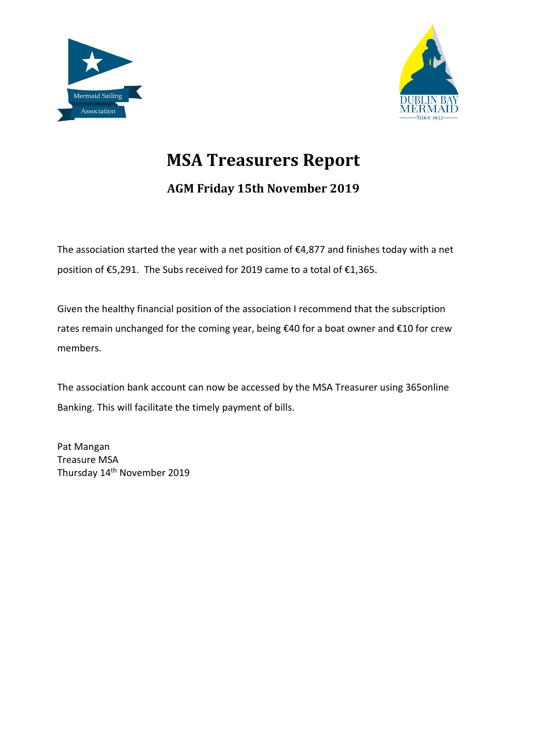



## **MSA Treasurers Report**

**AGM Friday 15th November 2019**

The association started the year with a net position of  $\epsilon$ 4,877 and finishes today with a net position of €5,291. The Subs received for 2019 came to a total of €1,365.

Given the healthy financial position of the association I recommend that the subscription rates remain unchanged for the coming year, being €40 for a boat owner and €10 for crew members.

The association bank account can now be accessed by the MSA Treasurer using 365online Banking. This will facilitate the timely payment of bills.

Pat Mangan Treasure MSA Thursday 14th November 2019